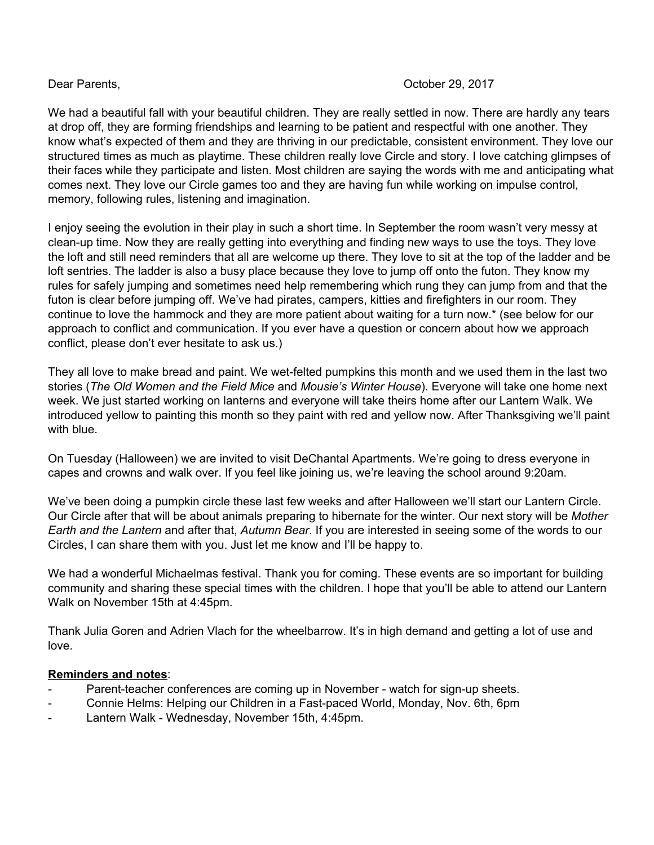## Dear Parents, October 29, 2017

We had a beautiful fall with your beautiful children. They are really settled in now. There are hardly any tears at drop off, they are forming friendships and learning to be patient and respectful with one another. They know what's expected of them and they are thriving in our predictable, consistent environment. They love our structured times as much as playtime. These children really love Circle and story. I love catching glimpses of their faces while they participate and listen. Most children are saying the words with me and anticipating what comes next. They love our Circle games too and they are having fun while working on impulse control, memory, following rules, listening and imagination.

I enjoy seeing the evolution in their play in such a short time. In September the room wasn't very messy at clean-up time. Now they are really getting into everything and finding new ways to use the toys. They love the loft and still need reminders that all are welcome up there. They love to sit at the top of the ladder and be loft sentries. The ladder is also a busy place because they love to jump off onto the futon. They know my rules for safely jumping and sometimes need help remembering which rung they can jump from and that the futon is clear before jumping off. We've had pirates, campers, kitties and firefighters in our room. They continue to love the hammock and they are more patient about waiting for a turn now.\* (see below for our approach to conflict and communication. If you ever have a question or concern about how we approach conflict, please don't ever hesitate to ask us.)

They all love to make bread and paint. We wet-felted pumpkins this month and we used them in the last two stories (*The Old Women and the Field Mice* and *Mousie's Winter House*). Everyone will take one home next week. We just started working on lanterns and everyone will take theirs home after our Lantern Walk. We introduced yellow to painting this month so they paint with red and yellow now. After Thanksgiving we'll paint with blue.

On Tuesday (Halloween) we are invited to visit DeChantal Apartments. We're going to dress everyone in capes and crowns and walk over. If you feel like joining us, we're leaving the school around 9:20am.

We've been doing a pumpkin circle these last few weeks and after Halloween we'll start our Lantern Circle. Our Circle after that will be about animals preparing to hibernate for the winter. Our next story will be *Mother Earth and the Lantern* and after that, *Autumn Bear*. If you are interested in seeing some of the words to our Circles, I can share them with you. Just let me know and I'll be happy to.

We had a wonderful Michaelmas festival. Thank you for coming. These events are so important for building community and sharing these special times with the children. I hope that you'll be able to attend our Lantern Walk on November 15th at 4:45pm.

Thank Julia Goren and Adrien Vlach for the wheelbarrow. It's in high demand and getting a lot of use and love.

## **Reminders and notes**:

- Parent-teacher conferences are coming up in November watch for sign-up sheets.
- Connie Helms: Helping our Children in a Fast-paced World, Monday, Nov. 6th, 6pm
- Lantern Walk Wednesday, November 15th, 4:45pm.